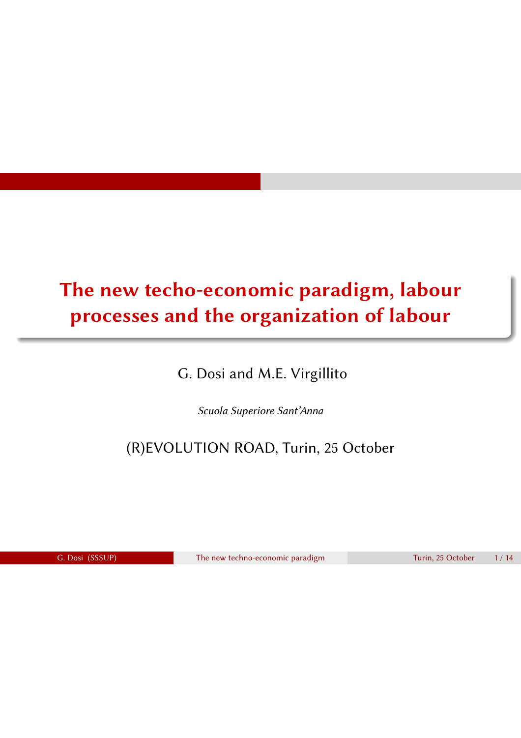# The new techo-economic paradigm, labour processes and the organization of labour

G. Dosi and M.E. Virgillito

*Scuola Superiore Sant'Anna*

(R)EVOLUTION ROAD, Turin, 25 October

G. Dosi (SSSUP) The new techno-economic paradigm Turin, 25 October 1/14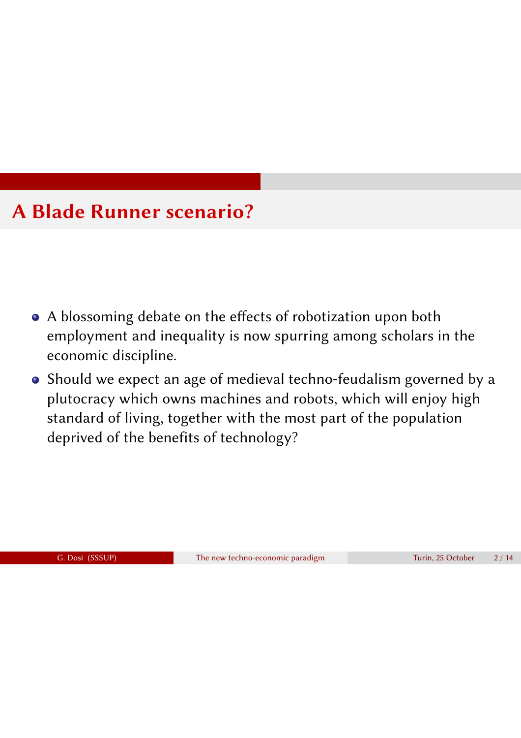# A Blade Runner scenario?

- A blossoming debate on the effects of robotization upon both employment and inequality is now spurring among scholars in the economic discipline.
- Should we expect an age of medieval techno-feudalism governed by a plutocracy which owns machines and robots, which will enjoy high standard of living, together with the most part of the population deprived of the benefits of technology?

G. Dosi (SSSUP) The new techno-economic paradigm Turin, 25 October 2 / 14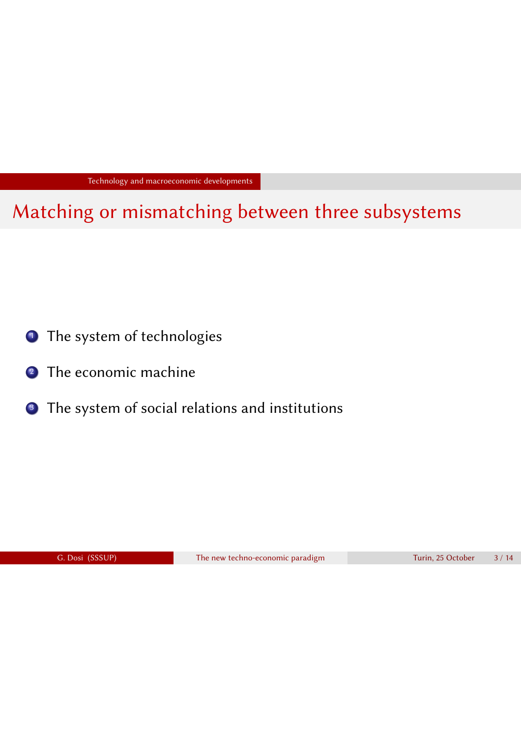Technology and macroeconomic developments

Matching or mismatching between three subsystems

- <sup>1</sup> The system of technologies
- 2 The economic machine
- <sup>3</sup> The system of social relations and institutions

G. Dosi (SSSUP) The new techno-economic paradigm Turin, 25 October 3/14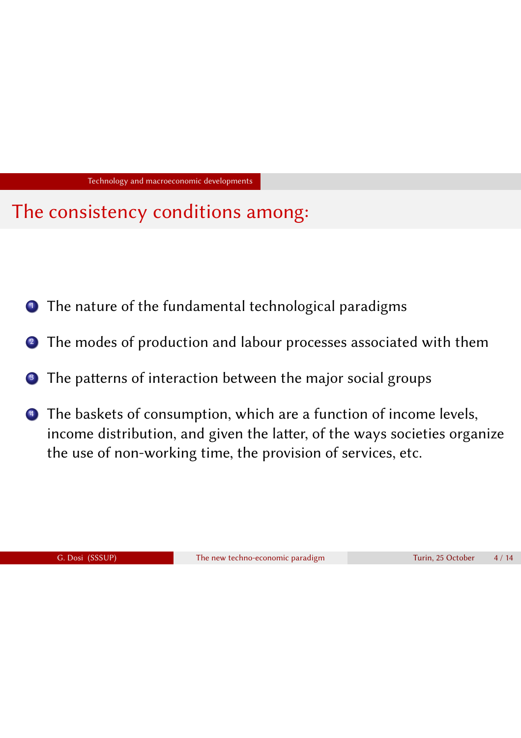Technology and macroeconomic developments

### The consistency conditions among:

- **1** The nature of the fundamental technological paradigms
- 2 The modes of production and labour processes associated with them
- <sup>3</sup> The patterns of interaction between the major social groups
- <sup>4</sup> The baskets of consumption, which are a function of income levels, income distribution, and given the latter, of the ways societies organize the use of non-working time, the provision of services, etc.

G. Dosi (SSSUP) The new techno-economic paradigm Turin, 25 October 4 / 14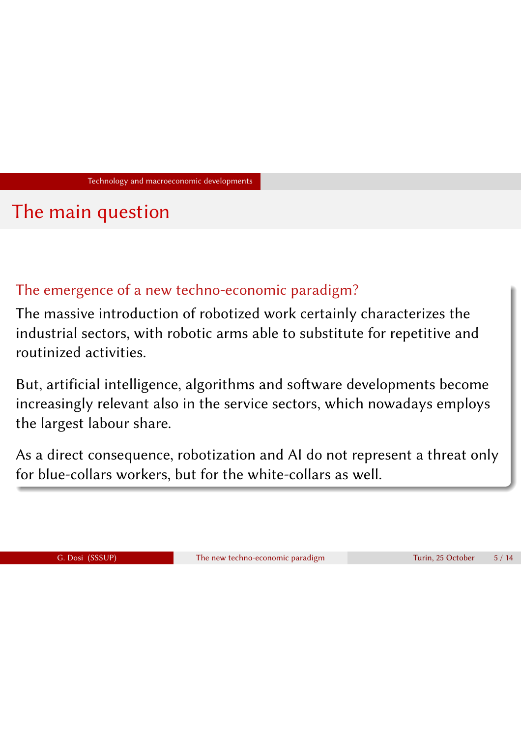Technology and macroeconomic developments

### The main question

### The emergence of a new techno-economic paradigm?

The massive introduction of robotized work certainly characterizes the industrial sectors, with robotic arms able to substitute for repetitive and routinized activities.

But, artificial intelligence, algorithms and software developments become increasingly relevant also in the service sectors, which nowadays employs the largest labour share.

As a direct consequence, robotization and AI do not represent a threat only for blue-collars workers, but for the white-collars as well.

G. Dosi (SSSUP) The new techno-economic paradigm Turin, 25 October 5/14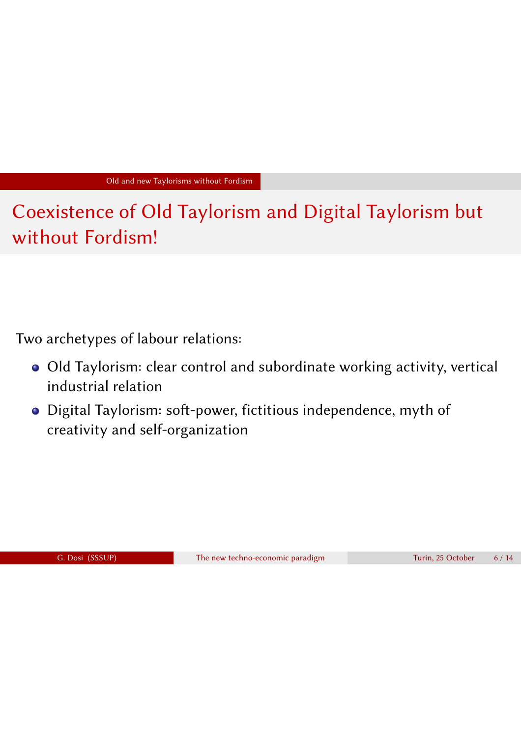Coexistence of Old Taylorism and Digital Taylorism but without Fordism!

Two archetypes of labour relations:

- Old Taylorism: clear control and subordinate working activity, vertical industrial relation
- Digital Taylorism: soft-power, fictitious independence, myth of creativity and self-organization

G. Dosi (SSSUP) The new techno-economic paradigm Turin, 25 October 6 / 14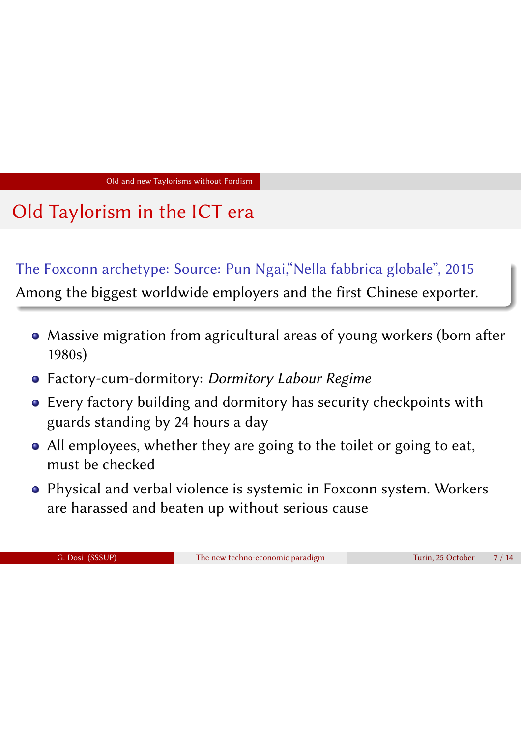### Old Taylorism in the ICT era

#### The Foxconn archetype: Source: Pun Ngai,"Nella fabbrica globale", 2015

Among the biggest worldwide employers and the first Chinese exporter.

- Massive migration from agricultural areas of young workers (born after 1980s)
- Factory-cum-dormitory: *Dormitory Labour Regime*
- Every factory building and dormitory has security checkpoints with guards standing by 24 hours a day
- All employees, whether they are going to the toilet or going to eat, must be checked
- Physical and verbal violence is systemic in Foxconn system. Workers are harassed and beaten up without serious cause

|  | G. Dosi (SSSUP) |
|--|-----------------|
|--|-----------------|

The new techno-economic paradigm Turin, 25 October 7 / 14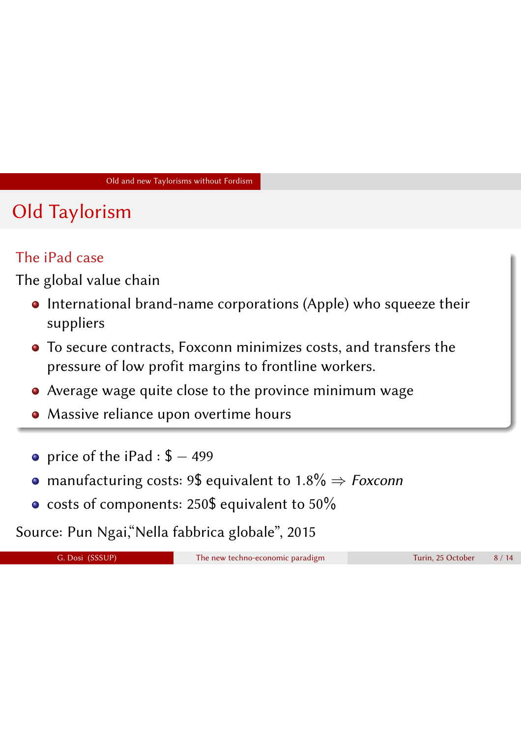## Old Taylorism

### The iPad case

The global value chain

- International brand-name corporations (Apple) who squeeze their suppliers
- To secure contracts, Foxconn minimizes costs, and transfers the pressure of low profit margins to frontline workers.
- Average wage quite close to the province minimum wage
- Massive reliance upon overtime hours
- price of the iPad :  $$ -499$
- **•** manufacturing costs: 9\$ equivalent to  $1.8\% \Rightarrow$  *Foxconn*
- o costs of components: 250\$ equivalent to 50%

Source: Pun Ngai,"Nella fabbrica globale", 2015

G. Dosi (SSSUP) The new techno-economic paradigm Turin, 25 October 8 / 14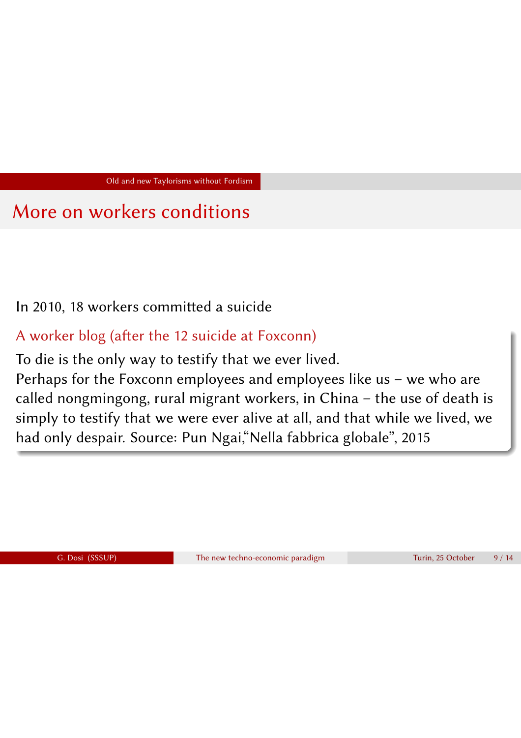### More on workers conditions

In 2010, 18 workers committed a suicide

A worker blog (after the 12 suicide at Foxconn)

To die is the only way to testify that we ever lived.

Perhaps for the Foxconn employees and employees like us – we who are called nongmingong, rural migrant workers, in China – the use of death is simply to testify that we were ever alive at all, and that while we lived, we had only despair. Source: Pun Ngai,"Nella fabbrica globale", 2015

G. Dosi (SSSUP) The new techno-economic paradigm Turin, 25 October 9/14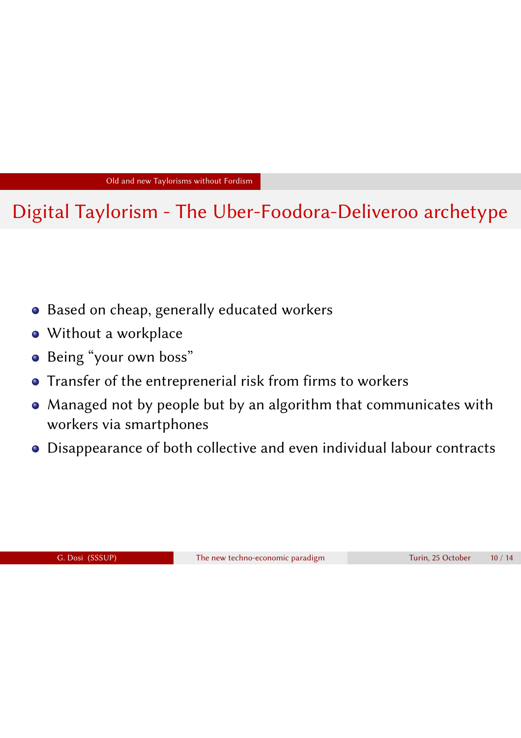### Digital Taylorism - The Uber-Foodora-Deliveroo archetype

- Based on cheap, generally educated workers
- Without a workplace
- Being "your own boss"
- **•** Transfer of the entreprenerial risk from firms to workers
- Managed not by people but by an algorithm that communicates with workers via smartphones
- Disappearance of both collective and even individual labour contracts

G. Dosi (SSSUP) The new techno-economic paradigm Turin, 25 October 10 / 14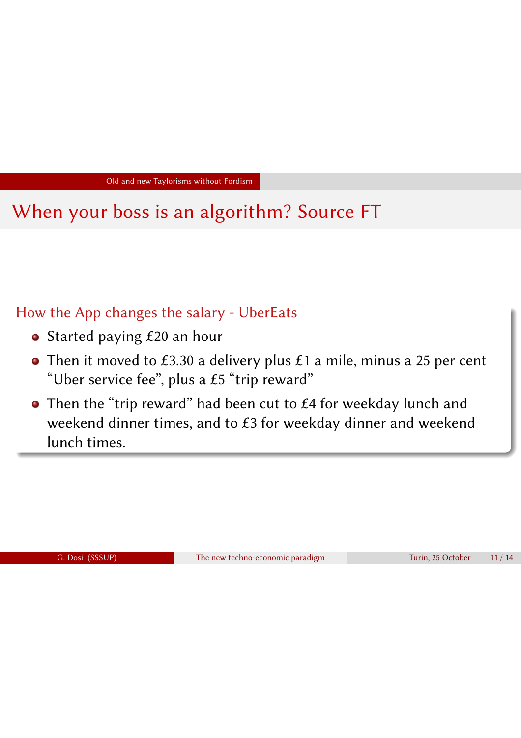# When your boss is an algorithm? Source FT

### How the App changes the salary - UberEats

- Started paying £20 an hour
- Then it moved to £3.30 a delivery plus  $£1$  a mile, minus a 25 per cent "Uber service fee", plus a  $£5$  "trip reward"
- Then the "trip reward" had been cut to £4 for weekday lunch and weekend dinner times, and to £3 for weekday dinner and weekend lunch times.

G. Dosi (SSSUP) The new techno-economic paradigm Turin, 25 October 11 / 14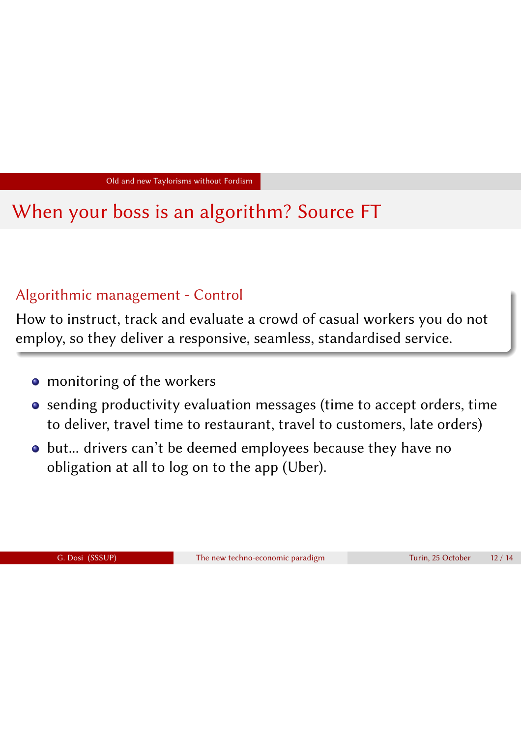### When your boss is an algorithm? Source FT

#### Algorithmic management - Control

How to instruct, track and evaluate a crowd of casual workers you do not employ, so they deliver a responsive, seamless, standardised service.

- **•** monitoring of the workers
- sending productivity evaluation messages (time to accept orders, time to deliver, travel time to restaurant, travel to customers, late orders)
- but... drivers can't be deemed employees because they have no obligation at all to log on to the app (Uber).

G. Dosi (SSSUP) The new techno-economic paradigm Turin, 25 October 12 / 14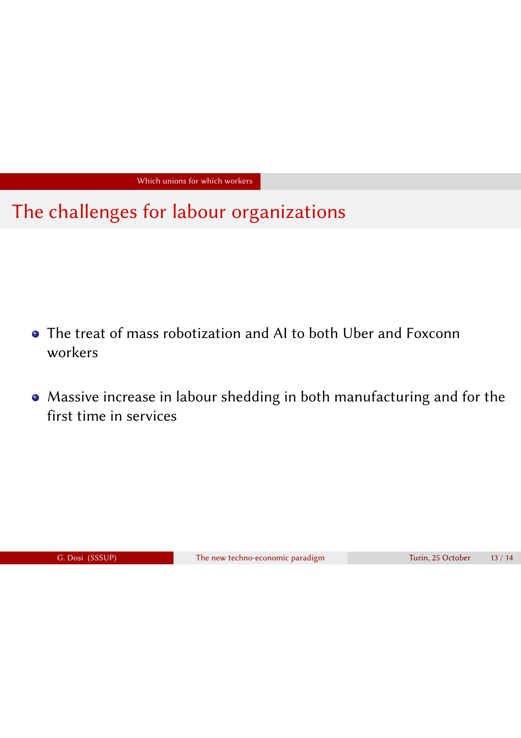Which unions for which workers

The challenges for labour organizations

- The treat of mass robotization and AI to both Uber and Foxconn workers
- Massive increase in labour shedding in both manufacturing and for the first time in services

G. Dosi (SSSUP) The new techno-economic paradigm Turin, 25 October 13 / 14